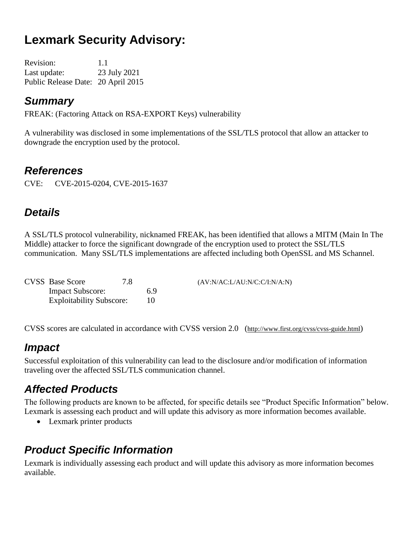# **Lexmark Security Advisory:**

Revision: 1.1 Last update: 23 July 2021 Public Release Date: 20 April 2015

### *Summary*

FREAK: (Factoring Attack on RSA-EXPORT Keys) vulnerability

A vulnerability was disclosed in some implementations of the SSL/TLS protocol that allow an attacker to downgrade the encryption used by the protocol.

### *References*

CVE: CVE-2015-0204, CVE-2015-1637

## *Details*

A SSL/TLS protocol vulnerability, nicknamed FREAK, has been identified that allows a MITM (Main In The Middle) attacker to force the significant downgrade of the encryption used to protect the SSL/TLS communication. Many SSL/TLS implementations are affected including both OpenSSL and MS Schannel.

| <b>CVSS</b> Base Score          | 7.8 |    | (AV:N/AC:L/AU:N/C:C/I:N/A:N) |
|---------------------------------|-----|----|------------------------------|
| <b>Impact Subscore:</b>         |     | 69 |                              |
| <b>Exploitability Subscore:</b> |     |    |                              |

CVSS scores are calculated in accordance with CVSS version 2.0 (http://www.first.org/cvss/cvss-guide.html)

### *Impact*

Successful exploitation of this vulnerability can lead to the disclosure and/or modification of information traveling over the affected SSL/TLS communication channel.

# *Affected Products*

The following products are known to be affected, for specific details see "Product Specific Information" below. Lexmark is assessing each product and will update this advisory as more information becomes available.

• Lexmark printer products

## *Product Specific Information*

Lexmark is individually assessing each product and will update this advisory as more information becomes available.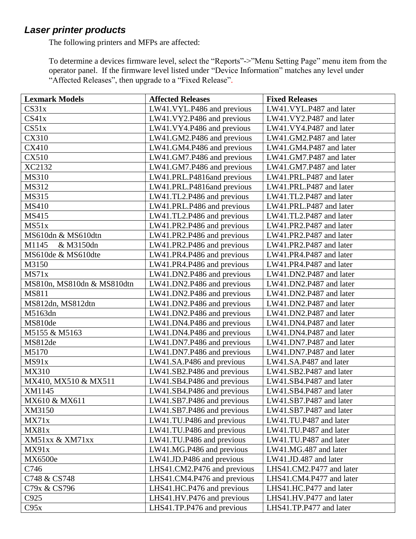#### *Laser printer products*

The following printers and MFPs are affected:

To determine a devices firmware level, select the "Reports"->"Menu Setting Page" menu item from the operator panel. If the firmware level listed under "Device Information" matches any level under "Affected Releases", then upgrade to a "Fixed Release".

| <b>Lexmark Models</b>      | <b>Affected Releases</b>    | <b>Fixed Releases</b>    |
|----------------------------|-----------------------------|--------------------------|
| CS31x                      | LW41.VYL.P486 and previous  | LW41.VYL.P487 and later  |
| CS41x                      | LW41.VY2.P486 and previous  | LW41.VY2.P487 and later  |
| CS51x                      | LW41.VY4.P486 and previous  | LW41.VY4.P487 and later  |
| <b>CX310</b>               | LW41.GM2.P486 and previous  | LW41.GM2.P487 and later  |
| <b>CX410</b>               | LW41.GM4.P486 and previous  | LW41.GM4.P487 and later  |
| <b>CX510</b>               | LW41.GM7.P486 and previous  | LW41.GM7.P487 and later  |
| XC2132                     | LW41.GM7.P486 and previous  | LW41.GM7.P487 and later  |
| <b>MS310</b>               | LW41.PRL.P4816and previous  | LW41.PRL.P487 and later  |
| MS312                      | LW41.PRL.P4816and previous  | LW41.PRL.P487 and later  |
| MS315                      | LW41.TL2.P486 and previous  | LW41.TL2.P487 and later  |
| <b>MS410</b>               | LW41.PRL.P486 and previous  | LW41.PRL.P487 and later  |
| MS415                      | LW41.TL2.P486 and previous  | LW41.TL2.P487 and later  |
| MS51x                      | LW41.PR2.P486 and previous  | LW41.PR2.P487 and later  |
| MS610dn & MS610dtn         | LW41.PR2.P486 and previous  | LW41.PR2.P487 and later  |
| M1145<br>& M3150dn         | LW41.PR2.P486 and previous  | LW41.PR2.P487 and later  |
| MS610de & MS610dte         | LW41.PR4.P486 and previous  | LW41.PR4.P487 and later  |
| M3150                      | LW41.PR4.P486 and previous  | LW41.PR4.P487 and later  |
| MS71x                      | LW41.DN2.P486 and previous  | LW41.DN2.P487 and later  |
| MS810n, MS810dn & MS810dtn | LW41.DN2.P486 and previous  | LW41.DN2.P487 and later  |
| MS811                      | LW41.DN2.P486 and previous  | LW41.DN2.P487 and later  |
| MS812dn, MS812dtn          | LW41.DN2.P486 and previous  | LW41.DN2.P487 and later  |
| M5163dn                    | LW41.DN2.P486 and previous  | LW41.DN2.P487 and later  |
| MS810de                    | LW41.DN4.P486 and previous  | LW41.DN4.P487 and later  |
| M5155 & M5163              | LW41.DN4.P486 and previous  | LW41.DN4.P487 and later  |
| MS812de                    | LW41.DN7.P486 and previous  | LW41.DN7.P487 and later  |
| M5170                      | LW41.DN7.P486 and previous  | LW41.DN7.P487 and later  |
| MS91x                      | LW41.SA.P486 and previous   | LW41.SA.P487 and later   |
| <b>MX310</b>               | LW41.SB2.P486 and previous  | LW41.SB2.P487 and later  |
| MX410, MX510 & MX511       | LW41.SB4.P486 and previous  | LW41.SB4.P487 and later  |
| XM1145                     | LW41.SB4.P486 and previous  | LW41.SB4.P487 and later  |
| MX610 & MX611              | LW41.SB7.P486 and previous  | LW41.SB7.P487 and later  |
| XM3150                     | LW41.SB7.P486 and previous  | LW41.SB7.P487 and later  |
| MX71x                      | LW41.TU.P486 and previous   | LW41.TU.P487 and later   |
| MX81x                      | LW41.TU.P486 and previous   | LW41.TU.P487 and later   |
| XM51xx & XM71xx            | LW41.TU.P486 and previous   | LW41.TU.P487 and later   |
| MX91x                      | LW41.MG.P486 and previous   | LW41.MG.487 and later    |
| MX6500e                    | LW41.JD.P486 and previous   | LW41.JD.487 and later    |
| C746                       | LHS41.CM2.P476 and previous | LHS41.CM2.P477 and later |
| C748 & CS748               | LHS41.CM4.P476 and previous | LHS41.CM4.P477 and later |
| C79x & CS796               | LHS41.HC.P476 and previous  | LHS41.HC.P477 and later  |
| C925                       | LHS41.HV.P476 and previous  | LHS41.HV.P477 and later  |
| C95x                       | LHS41.TP.P476 and previous  | LHS41.TP.P477 and later  |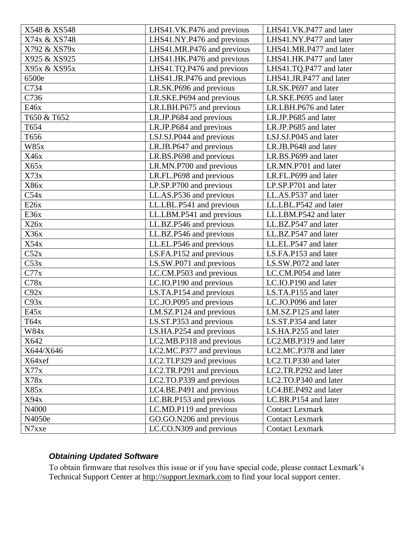| LHS41.NY.P476 and previous<br>X74x & XS748<br>LHS41.NY.P477 and later<br>LHS41.MR.P476 and previous<br>X792 & XS79x<br>LHS41.MR.P477 and later<br>X925 & XS925<br>LHS41.HK.P476 and previous<br>LHS41.HK.P477 and later<br>LHS41.TQ.P476 and previous<br>X95x & XS95x<br>LHS41.TQ.P477 and later<br>6500e<br>LHS41.JR.P476 and previous<br>LHS41.JR.P477 and later<br>C734<br>LR.SK.P696 and previous<br>LR.SK.P697 and later<br>C736<br>LR.SKE.P694 and previous<br>LR.SKE.P695 and later<br>E46x<br>LR.LBH.P675 and previous<br>LR.LBH.P676 and later<br>T650 & T652<br>LR.JP.P684 and previous<br>LR.JP.P685 and later<br>T654<br>LR.JP.P685 and later<br>LR.JP.P684 and previous<br>T656<br>LSJ.SJ.P044 and previous<br>LSJ.SJ.P045 and later<br>W85x<br>LR.JB.P647 and previous<br>LR.JB.P648 and later<br>X46x<br>LR.BS.P698 and previous<br>LR.BS.P699 and later<br>X65x<br>LR.MN.P700 and previous<br>LR.MN.P701 and later<br>X73x<br>LR.FL.P698 and previous<br>LR.FL.P699 and later<br>X86x<br>LP.SP.P700 and previous<br>LP.SP.P701 and later<br>C54x<br>LL.AS.P536 and previous<br>LL.AS.P537 and later<br>E26x<br>LL.LBL.P541 and previous<br>LL.LBL.P542 and later<br>E36x<br>LL.LBM.P541 and previous<br>LL.LBM.P542 and later<br>X26x<br>LL.BZ.P546 and previous<br>LL.BZ.P547 and later<br>X36x<br>LL.BZ.P547 and later |
|------------------------------------------------------------------------------------------------------------------------------------------------------------------------------------------------------------------------------------------------------------------------------------------------------------------------------------------------------------------------------------------------------------------------------------------------------------------------------------------------------------------------------------------------------------------------------------------------------------------------------------------------------------------------------------------------------------------------------------------------------------------------------------------------------------------------------------------------------------------------------------------------------------------------------------------------------------------------------------------------------------------------------------------------------------------------------------------------------------------------------------------------------------------------------------------------------------------------------------------------------------------------------------------------------------------------------------------|
|                                                                                                                                                                                                                                                                                                                                                                                                                                                                                                                                                                                                                                                                                                                                                                                                                                                                                                                                                                                                                                                                                                                                                                                                                                                                                                                                          |
|                                                                                                                                                                                                                                                                                                                                                                                                                                                                                                                                                                                                                                                                                                                                                                                                                                                                                                                                                                                                                                                                                                                                                                                                                                                                                                                                          |
|                                                                                                                                                                                                                                                                                                                                                                                                                                                                                                                                                                                                                                                                                                                                                                                                                                                                                                                                                                                                                                                                                                                                                                                                                                                                                                                                          |
|                                                                                                                                                                                                                                                                                                                                                                                                                                                                                                                                                                                                                                                                                                                                                                                                                                                                                                                                                                                                                                                                                                                                                                                                                                                                                                                                          |
|                                                                                                                                                                                                                                                                                                                                                                                                                                                                                                                                                                                                                                                                                                                                                                                                                                                                                                                                                                                                                                                                                                                                                                                                                                                                                                                                          |
|                                                                                                                                                                                                                                                                                                                                                                                                                                                                                                                                                                                                                                                                                                                                                                                                                                                                                                                                                                                                                                                                                                                                                                                                                                                                                                                                          |
|                                                                                                                                                                                                                                                                                                                                                                                                                                                                                                                                                                                                                                                                                                                                                                                                                                                                                                                                                                                                                                                                                                                                                                                                                                                                                                                                          |
|                                                                                                                                                                                                                                                                                                                                                                                                                                                                                                                                                                                                                                                                                                                                                                                                                                                                                                                                                                                                                                                                                                                                                                                                                                                                                                                                          |
|                                                                                                                                                                                                                                                                                                                                                                                                                                                                                                                                                                                                                                                                                                                                                                                                                                                                                                                                                                                                                                                                                                                                                                                                                                                                                                                                          |
|                                                                                                                                                                                                                                                                                                                                                                                                                                                                                                                                                                                                                                                                                                                                                                                                                                                                                                                                                                                                                                                                                                                                                                                                                                                                                                                                          |
|                                                                                                                                                                                                                                                                                                                                                                                                                                                                                                                                                                                                                                                                                                                                                                                                                                                                                                                                                                                                                                                                                                                                                                                                                                                                                                                                          |
|                                                                                                                                                                                                                                                                                                                                                                                                                                                                                                                                                                                                                                                                                                                                                                                                                                                                                                                                                                                                                                                                                                                                                                                                                                                                                                                                          |
|                                                                                                                                                                                                                                                                                                                                                                                                                                                                                                                                                                                                                                                                                                                                                                                                                                                                                                                                                                                                                                                                                                                                                                                                                                                                                                                                          |
|                                                                                                                                                                                                                                                                                                                                                                                                                                                                                                                                                                                                                                                                                                                                                                                                                                                                                                                                                                                                                                                                                                                                                                                                                                                                                                                                          |
|                                                                                                                                                                                                                                                                                                                                                                                                                                                                                                                                                                                                                                                                                                                                                                                                                                                                                                                                                                                                                                                                                                                                                                                                                                                                                                                                          |
|                                                                                                                                                                                                                                                                                                                                                                                                                                                                                                                                                                                                                                                                                                                                                                                                                                                                                                                                                                                                                                                                                                                                                                                                                                                                                                                                          |
|                                                                                                                                                                                                                                                                                                                                                                                                                                                                                                                                                                                                                                                                                                                                                                                                                                                                                                                                                                                                                                                                                                                                                                                                                                                                                                                                          |
|                                                                                                                                                                                                                                                                                                                                                                                                                                                                                                                                                                                                                                                                                                                                                                                                                                                                                                                                                                                                                                                                                                                                                                                                                                                                                                                                          |
|                                                                                                                                                                                                                                                                                                                                                                                                                                                                                                                                                                                                                                                                                                                                                                                                                                                                                                                                                                                                                                                                                                                                                                                                                                                                                                                                          |
|                                                                                                                                                                                                                                                                                                                                                                                                                                                                                                                                                                                                                                                                                                                                                                                                                                                                                                                                                                                                                                                                                                                                                                                                                                                                                                                                          |
| LL.BZ.P546 and previous                                                                                                                                                                                                                                                                                                                                                                                                                                                                                                                                                                                                                                                                                                                                                                                                                                                                                                                                                                                                                                                                                                                                                                                                                                                                                                                  |
| X54x<br>LL.EL.P546 and previous<br>LL.EL.P547 and later                                                                                                                                                                                                                                                                                                                                                                                                                                                                                                                                                                                                                                                                                                                                                                                                                                                                                                                                                                                                                                                                                                                                                                                                                                                                                  |
| C52x<br>LS.FA.P152 and previous<br>LS.FA.P153 and later                                                                                                                                                                                                                                                                                                                                                                                                                                                                                                                                                                                                                                                                                                                                                                                                                                                                                                                                                                                                                                                                                                                                                                                                                                                                                  |
| C53x<br>LS.SW.P072 and later<br>LS.SW.P071 and previous                                                                                                                                                                                                                                                                                                                                                                                                                                                                                                                                                                                                                                                                                                                                                                                                                                                                                                                                                                                                                                                                                                                                                                                                                                                                                  |
| C77x<br>LC.CM.P503 and previous<br>LC.CM.P054 and later                                                                                                                                                                                                                                                                                                                                                                                                                                                                                                                                                                                                                                                                                                                                                                                                                                                                                                                                                                                                                                                                                                                                                                                                                                                                                  |
| C78x<br>LC.IO.P190 and later<br>LC.IO.P190 and previous                                                                                                                                                                                                                                                                                                                                                                                                                                                                                                                                                                                                                                                                                                                                                                                                                                                                                                                                                                                                                                                                                                                                                                                                                                                                                  |
| C92x<br>LS.TA.P154 and previous<br>LS.TA.P155 and later                                                                                                                                                                                                                                                                                                                                                                                                                                                                                                                                                                                                                                                                                                                                                                                                                                                                                                                                                                                                                                                                                                                                                                                                                                                                                  |
| C93x<br>LC.JO.P095 and previous<br>LC.JO.P096 and later                                                                                                                                                                                                                                                                                                                                                                                                                                                                                                                                                                                                                                                                                                                                                                                                                                                                                                                                                                                                                                                                                                                                                                                                                                                                                  |
| E45x<br>LM.SZ.P124 and previous<br>LM.SZ.P125 and later                                                                                                                                                                                                                                                                                                                                                                                                                                                                                                                                                                                                                                                                                                                                                                                                                                                                                                                                                                                                                                                                                                                                                                                                                                                                                  |
| LS.ST.P353 and previous<br>T64x<br>LS.ST.P354 and later                                                                                                                                                                                                                                                                                                                                                                                                                                                                                                                                                                                                                                                                                                                                                                                                                                                                                                                                                                                                                                                                                                                                                                                                                                                                                  |
| <b>W84x</b><br>LS.HA.P254 and previous<br>LS.HA.P255 and later                                                                                                                                                                                                                                                                                                                                                                                                                                                                                                                                                                                                                                                                                                                                                                                                                                                                                                                                                                                                                                                                                                                                                                                                                                                                           |
| X642<br>LC2.MB.P318 and previous<br>LC2.MB.P319 and later                                                                                                                                                                                                                                                                                                                                                                                                                                                                                                                                                                                                                                                                                                                                                                                                                                                                                                                                                                                                                                                                                                                                                                                                                                                                                |
| X644/X646<br>LC2.MC.P377 and previous<br>LC2.MC.P378 and later                                                                                                                                                                                                                                                                                                                                                                                                                                                                                                                                                                                                                                                                                                                                                                                                                                                                                                                                                                                                                                                                                                                                                                                                                                                                           |
| LC2.TI.P330 and later<br>X64xef<br>LC2.TI.P329 and previous                                                                                                                                                                                                                                                                                                                                                                                                                                                                                                                                                                                                                                                                                                                                                                                                                                                                                                                                                                                                                                                                                                                                                                                                                                                                              |
| X77x<br>LC2.TR.P291 and previous<br>LC2.TR.P292 and later                                                                                                                                                                                                                                                                                                                                                                                                                                                                                                                                                                                                                                                                                                                                                                                                                                                                                                                                                                                                                                                                                                                                                                                                                                                                                |
| X78x<br>LC2.TO.P339 and previous<br>LC2.TO.P340 and later                                                                                                                                                                                                                                                                                                                                                                                                                                                                                                                                                                                                                                                                                                                                                                                                                                                                                                                                                                                                                                                                                                                                                                                                                                                                                |
| X85x<br>LC4.BE.P492 and later<br>LC4.BE.P491 and previous                                                                                                                                                                                                                                                                                                                                                                                                                                                                                                                                                                                                                                                                                                                                                                                                                                                                                                                                                                                                                                                                                                                                                                                                                                                                                |
| LC.BR.P153 and previous<br>LC.BR.P154 and later<br>X94x                                                                                                                                                                                                                                                                                                                                                                                                                                                                                                                                                                                                                                                                                                                                                                                                                                                                                                                                                                                                                                                                                                                                                                                                                                                                                  |
| N4000<br>LC.MD.P119 and previous<br><b>Contact Lexmark</b>                                                                                                                                                                                                                                                                                                                                                                                                                                                                                                                                                                                                                                                                                                                                                                                                                                                                                                                                                                                                                                                                                                                                                                                                                                                                               |
| GO.GO.N206 and previous<br><b>Contact Lexmark</b><br>N4050e                                                                                                                                                                                                                                                                                                                                                                                                                                                                                                                                                                                                                                                                                                                                                                                                                                                                                                                                                                                                                                                                                                                                                                                                                                                                              |
| LC.CO.N309 and previous<br><b>Contact Lexmark</b><br>N7xxe                                                                                                                                                                                                                                                                                                                                                                                                                                                                                                                                                                                                                                                                                                                                                                                                                                                                                                                                                                                                                                                                                                                                                                                                                                                                               |

#### *Obtaining Updated Software*

To obtain firmware that resolves this issue or if you have special code, please contact Lexmark's Technical Support Center at [http://support.lexmark.com](http://support.lexmark.com/) to find your local support center.